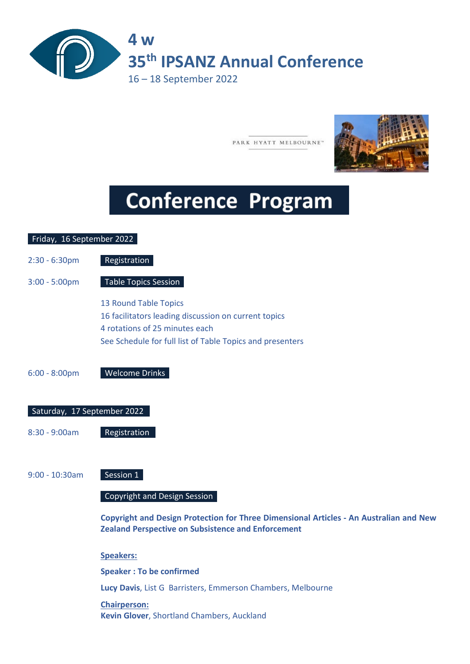

PARK HYATT MELBOURNE"



# **Conference Program**

## Friday, 16 September 2022 2:30 - 6:30pm Registration 3:00 - 5:00pm Table Topics Session 13 Round Table Topics 16 facilitators leading discussion on current topics 4 rotations of 25 minutes each See Schedule for full list of Table Topics and presenters 6:00 - 8:00pm Welcome Drinks Saturday, 17 September 2022 8:30 - 9:00am Registration 9:00 - 10:30am Session 1 Copyright and Design Session **Copyright and Design Protection for Three Dimensional Articles - An Australian and New Zealand Perspective on Subsistence and Enforcement Speakers: Speaker : To be confirmed Lucy Davis**, List G Barristers, Emmerson Chambers, Melbourne

**Chairperson: Kevin Glover**, Shortland Chambers, Auckland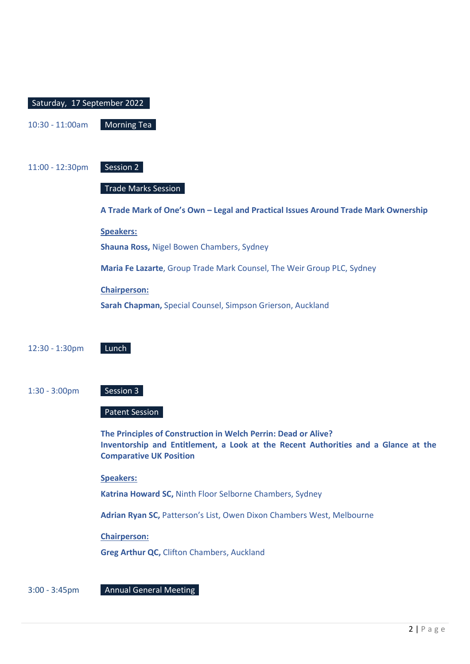| Saturday, 17 September 2022 |                                                                                                                                                                                        |
|-----------------------------|----------------------------------------------------------------------------------------------------------------------------------------------------------------------------------------|
| 10:30 - 11:00am             | <b>Morning Tea</b>                                                                                                                                                                     |
|                             |                                                                                                                                                                                        |
| 11:00 - 12:30pm             | Session 2                                                                                                                                                                              |
|                             | <b>Trade Marks Session</b>                                                                                                                                                             |
|                             | A Trade Mark of One's Own - Legal and Practical Issues Around Trade Mark Ownership                                                                                                     |
|                             | <b>Speakers:</b>                                                                                                                                                                       |
|                             | Shauna Ross, Nigel Bowen Chambers, Sydney                                                                                                                                              |
|                             | Maria Fe Lazarte, Group Trade Mark Counsel, The Weir Group PLC, Sydney                                                                                                                 |
|                             | <b>Chairperson:</b>                                                                                                                                                                    |
|                             | Sarah Chapman, Special Counsel, Simpson Grierson, Auckland                                                                                                                             |
|                             |                                                                                                                                                                                        |
| 12:30 - 1:30pm              | Lunch                                                                                                                                                                                  |
|                             |                                                                                                                                                                                        |
| $1:30 - 3:00$ pm            | Session 3                                                                                                                                                                              |
|                             | Patent Session                                                                                                                                                                         |
|                             | The Principles of Construction in Welch Perrin: Dead or Alive?<br>Inventorship and Entitlement, a Look at the Recent Authorities and a Glance at the<br><b>Comparative UK Position</b> |
|                             | <b>Speakers:</b>                                                                                                                                                                       |
|                             | Katrina Howard SC, Ninth Floor Selborne Chambers, Sydney                                                                                                                               |
|                             | Adrian Ryan SC, Patterson's List, Owen Dixon Chambers West, Melbourne                                                                                                                  |
|                             | <b>Chairperson:</b>                                                                                                                                                                    |
|                             | Greg Arthur QC, Clifton Chambers, Auckland                                                                                                                                             |
|                             |                                                                                                                                                                                        |

3:00 - 3:45pm Annual General Meeting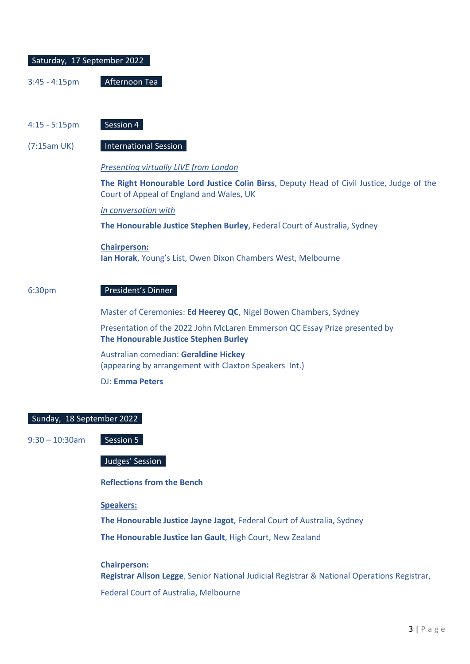| Saturday, 17 September 2022 |                                                                                                                                       |
|-----------------------------|---------------------------------------------------------------------------------------------------------------------------------------|
| $3:45 - 4:15$ pm            | Afternoon Tea                                                                                                                         |
|                             |                                                                                                                                       |
| $4:15 - 5:15$ pm            | Session 4                                                                                                                             |
| (7:15am UK)                 | <b>International Session</b>                                                                                                          |
|                             | <b>Presenting virtually LIVE from London</b>                                                                                          |
|                             | The Right Honourable Lord Justice Colin Birss, Deputy Head of Civil Justice, Judge of the<br>Court of Appeal of England and Wales, UK |
|                             | In conversation with                                                                                                                  |
|                             | The Honourable Justice Stephen Burley, Federal Court of Australia, Sydney                                                             |
|                             | <b>Chairperson:</b><br>Ian Horak, Young's List, Owen Dixon Chambers West, Melbourne                                                   |
| 6:30pm                      | President's Dinner                                                                                                                    |
|                             | Master of Ceremonies: Ed Heerey QC, Nigel Bowen Chambers, Sydney                                                                      |
|                             | Presentation of the 2022 John McLaren Emmerson QC Essay Prize presented by<br>The Honourable Justice Stephen Burley                   |
|                             | Australian comedian: Geraldine Hickey<br>(appearing by arrangement with Claxton Speakers Int.)                                        |
|                             | <b>DJ: Emma Peters</b>                                                                                                                |
|                             |                                                                                                                                       |

#### Sunday, 18 September 2022

 $9:30 - 10:30$ am Session 5

Judges' Session

**Reflections from the Bench**

**Speakers:**

**The Honourable Justice Jayne Jagot**, Federal Court of Australia, Sydney

**The Honourable Justice Ian Gault**, High Court, New Zealand

#### **Chairperson:**

**Registrar Alison Legge**, Senior National Judicial Registrar & National Operations Registrar, Federal Court of Australia, Melbourne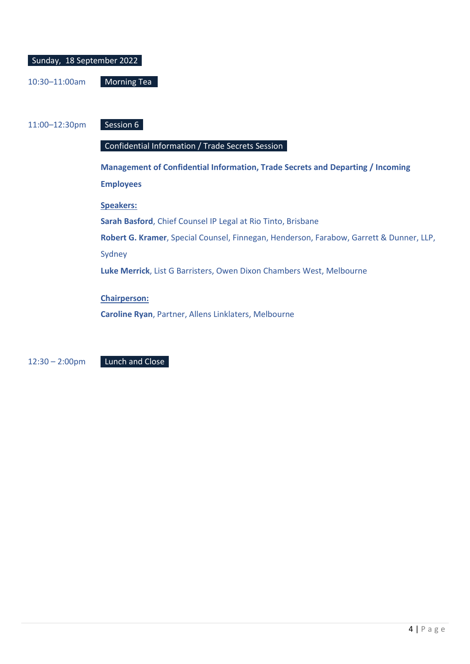| Sunday, 18 September 2022 |                    |  |  |
|---------------------------|--------------------|--|--|
|                           |                    |  |  |
| 10:30-11:00am             | <b>Morning Tea</b> |  |  |

11:00–12:30pm Session 6

#### Confidential Information / Trade Secrets Session

**Management of Confidential Information, Trade Secrets and Departing / Incoming Employees Speakers:**

**Sarah Basford**, Chief Counsel IP Legal at Rio Tinto, Brisbane

**Robert G. Kramer**, Special Counsel, Finnegan, Henderson, Farabow, Garrett & Dunner, LLP, Sydney

**Luke Merrick**, List G Barristers, Owen Dixon Chambers West, Melbourne

**Chairperson:**

**Caroline Ryan**, Partner, Allens Linklaters, Melbourne

12:30 – 2:00pm Lunch and Close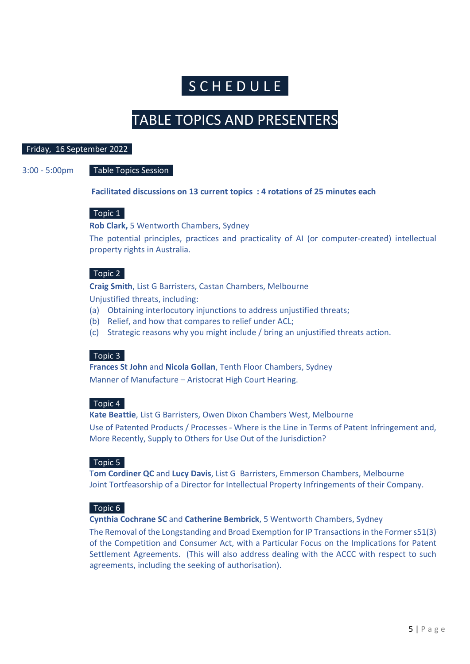## **S C H E D U L E**

### TABLE TOPICS AND PRESENTERS

#### Friday, 16 September 2022

#### 3:00 - 5:00pm Table Topics Session

**Facilitated discussions on 13 current topics : 4 rotations of 25 minutes each** 

#### Topic 1

**Rob Clark,** 5 Wentworth Chambers, Sydney

The potential principles, practices and practicality of AI (or computer-created) intellectual property rights in Australia.

#### Topic 2

**Craig Smith**, List G Barristers, Castan Chambers, Melbourne

Unjustified threats, including:

- (a) Obtaining interlocutory injunctions to address unjustified threats;
- (b) Relief, and how that compares to relief under ACL;
- (c) Strategic reasons why you might include / bring an unjustified threats action.

#### Topic 3

**Frances St John** and **Nicola Gollan**, Tenth Floor Chambers, Sydney Manner of Manufacture – Aristocrat High Court Hearing.

#### Topic 4

**Kate Beattie**, List G Barristers, Owen Dixon Chambers West, Melbourne Use of Patented Products / Processes - Where is the Line in Terms of Patent Infringement and, More Recently, Supply to Others for Use Out of the Jurisdiction?

#### Topic 5

T**om Cordiner QC** and **Lucy Davis**, List G Barristers, Emmerson Chambers, Melbourne Joint Tortfeasorship of a Director for Intellectual Property Infringements of their Company.

#### Topic 6

**Cynthia Cochrane SC** and **Catherine Bembrick**, 5 Wentworth Chambers, Sydney

The Removal of the Longstanding and Broad Exemption for IP Transactions in the Former s51(3) of the Competition and Consumer Act, with a Particular Focus on the Implications for Patent Settlement Agreements. (This will also address dealing with the ACCC with respect to such agreements, including the seeking of authorisation).